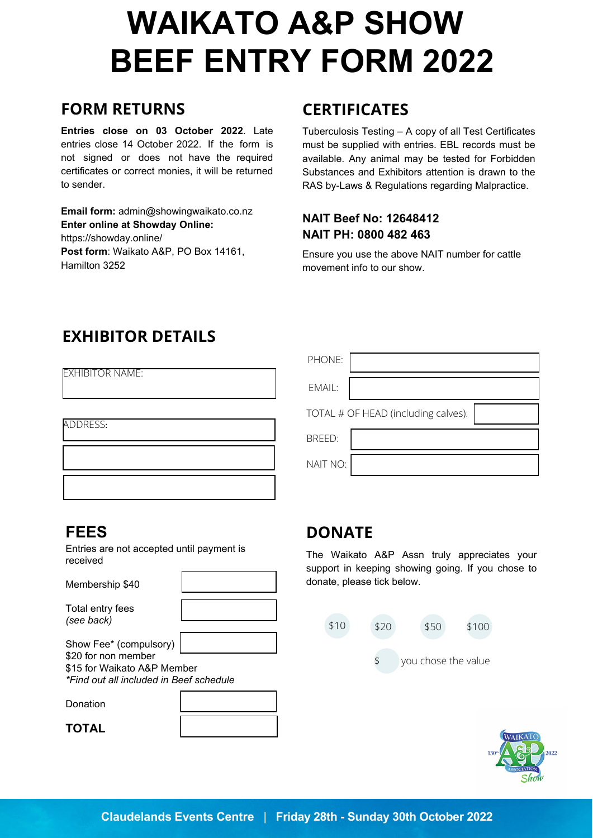# **BEEF ENTRY FORM 2022 WAIKATO A&P SHOW**

### **FORM RETURNS**

**Entries close on 03 October 2022**. Late entries close 14 October 2022. If the form is not signed or does not have the required certificates or correct monies, it will be returned to sender.

**Email form:** [admin@showingwaikato.co.nz](mailto:admin@showingwaikato.co.nz)  **Enter online at Showday Online:** [https://showday.online/](https://showday.online/events-open) **Post form**: Waikato A&P, PO Box 14161, Hamilton 3252

# **CERTIFICATES**

Tuberculosis Testing – A copy of all Test Certificates must be supplied with entries. EBL records must be available. Any animal may be tested for Forbidden Substances and Exhibitors attention is drawn to the RAS by-Laws & Regulations regarding Malpractice.

#### **NAIT Beef No: 12648412 NAIT PH: 0800 482 463**

Ensure you use the above NAIT number for cattle movement info to our show.

# **EXHIBITOR DETAILS**

| EXHIBITOR NAME: |  |
|-----------------|--|

ADDRESS:

| PHONE:   |                                     |
|----------|-------------------------------------|
| EMAIL:   |                                     |
|          | TOTAL # OF HEAD (including calves): |
| BREED:   |                                     |
| NAIT NO: |                                     |

### **FEES**

Entries are not accepted until payment is received

Membership \$40 Total er *(see back)*

| าtry fees |  |
|-----------|--|
| ck)       |  |
|           |  |

Show Fee\* (compulsory) \$20 for non member \$15 for Waikato A&P Member *\*Find out all included in Beef schedule*

Donation

**TOTAL**

### **DONATE**

The Waikato A&P Assn truly appreciates your support in keeping showing going. If you chose to donate, please tick below.